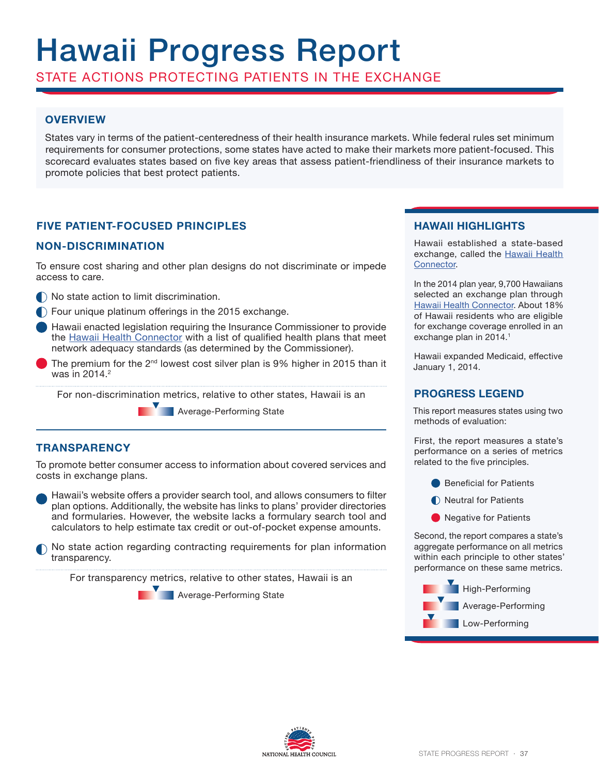# Hawaii Progress Report

STATE ACTIONS PROTECTING PATIENTS IN THE EXCHANGE

# **OVERVIEW**

States vary in terms of the patient-centeredness of their health insurance markets. While federal rules set minimum requirements for consumer protections, some states have acted to make their markets more patient-focused. This scorecard evaluates states based on five key areas that assess patient-friendliness of their insurance markets to promote policies that best protect patients.

## **FIVE PATIENT-FOCUSED PRINCIPLES**

## **NON-DISCRIMINATION**

To ensure cost sharing and other plan designs do not discriminate or impede access to care.

- $\bigcap$  No state action to limit discrimination.
- Four unique platinum offerings in the 2015 exchange.
- Hawaii enacted legislation requiring the Insurance Commissioner to provide the Hawaii Health Connector with a list of qualified health plans that meet network adequacy standards (as determined by the Commissioner).
- The premium for the  $2<sup>nd</sup>$  lowest cost silver plan is 9% higher in 2015 than it was in 2014.<sup>2</sup>

For non-discrimination metrics, relative to other states, Hawaii is an

**Average-Performing State** 

## **TRANSPARENCY**

To promote better consumer access to information about covered services and costs in exchange plans.

Hawaii's website offers a provider search tool, and allows consumers to filter plan options. Additionally, the website has links to plans' provider directories and formularies. However, the website lacks a formulary search tool and calculators to help estimate tax credit or out-of-pocket expense amounts.

No state action regarding contracting requirements for plan information transparency.

For transparency metrics, relative to other states, Hawaii is an

**Average-Performing State** 

## **HAWAII HIGHLIGHTS**

Hawaii established a state-based exchange, called the Hawaii Health Connector.

In the 2014 plan year, 9,700 Hawaiians selected an exchange plan through Hawaii Health Connector. About 18% of Hawaii residents who are eligible for exchange coverage enrolled in an exchange plan in 2014.<sup>1</sup>

Hawaii expanded Medicaid, effective January 1, 2014.

# **PROGRESS LEGEND**

This report measures states using two methods of evaluation:

First, the report measures a state's performance on a series of metrics related to the five principles.

- **■** Beneficial for Patients
- Neutral for Patients
- **O** Negative for Patients

Second, the report compares a state's aggregate performance on all metrics within each principle to other states' performance on these same metrics.